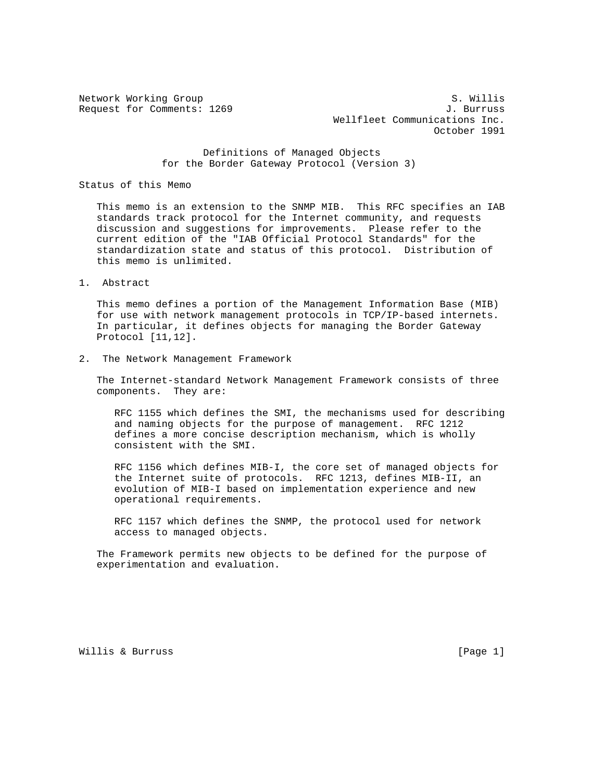Network Working Group S. Willis Request for Comments: 1269 J. Burruss Wellfleet Communications Inc. October 1991

> Definitions of Managed Objects for the Border Gateway Protocol (Version 3)

Status of this Memo

 This memo is an extension to the SNMP MIB. This RFC specifies an IAB standards track protocol for the Internet community, and requests discussion and suggestions for improvements. Please refer to the current edition of the "IAB Official Protocol Standards" for the standardization state and status of this protocol. Distribution of this memo is unlimited.

1. Abstract

 This memo defines a portion of the Management Information Base (MIB) for use with network management protocols in TCP/IP-based internets. In particular, it defines objects for managing the Border Gateway Protocol [11,12].

2. The Network Management Framework

 The Internet-standard Network Management Framework consists of three components. They are:

 RFC 1155 which defines the SMI, the mechanisms used for describing and naming objects for the purpose of management. RFC 1212 defines a more concise description mechanism, which is wholly consistent with the SMI.

 RFC 1156 which defines MIB-I, the core set of managed objects for the Internet suite of protocols. RFC 1213, defines MIB-II, an evolution of MIB-I based on implementation experience and new operational requirements.

 RFC 1157 which defines the SNMP, the protocol used for network access to managed objects.

 The Framework permits new objects to be defined for the purpose of experimentation and evaluation.

Willis & Burruss [Page 1]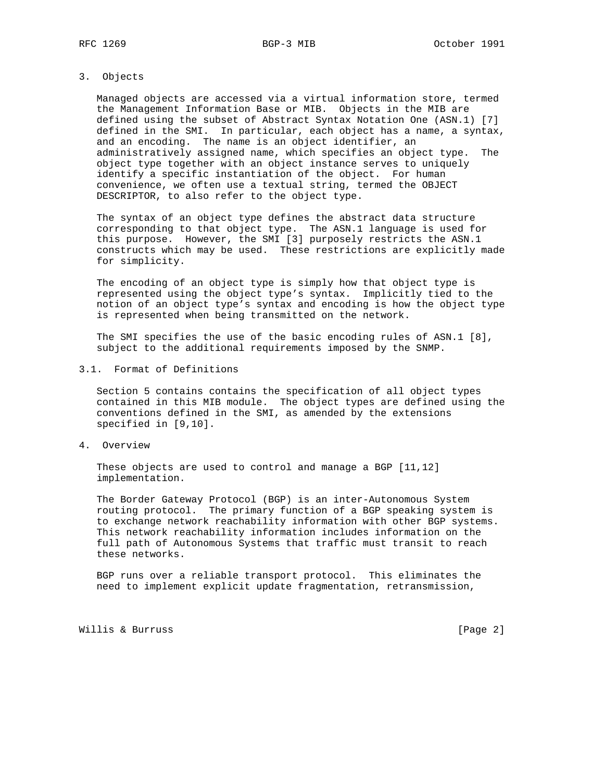## 3. Objects

 Managed objects are accessed via a virtual information store, termed the Management Information Base or MIB. Objects in the MIB are defined using the subset of Abstract Syntax Notation One (ASN.1) [7] defined in the SMI. In particular, each object has a name, a syntax, and an encoding. The name is an object identifier, an administratively assigned name, which specifies an object type. The object type together with an object instance serves to uniquely identify a specific instantiation of the object. For human convenience, we often use a textual string, termed the OBJECT DESCRIPTOR, to also refer to the object type.

 The syntax of an object type defines the abstract data structure corresponding to that object type. The ASN.1 language is used for this purpose. However, the SMI [3] purposely restricts the ASN.1 constructs which may be used. These restrictions are explicitly made for simplicity.

 The encoding of an object type is simply how that object type is represented using the object type's syntax. Implicitly tied to the notion of an object type's syntax and encoding is how the object type is represented when being transmitted on the network.

 The SMI specifies the use of the basic encoding rules of ASN.1 [8], subject to the additional requirements imposed by the SNMP.

3.1. Format of Definitions

 Section 5 contains contains the specification of all object types contained in this MIB module. The object types are defined using the conventions defined in the SMI, as amended by the extensions specified in [9,10].

4. Overview

 These objects are used to control and manage a BGP [11,12] implementation.

 The Border Gateway Protocol (BGP) is an inter-Autonomous System routing protocol. The primary function of a BGP speaking system is to exchange network reachability information with other BGP systems. This network reachability information includes information on the full path of Autonomous Systems that traffic must transit to reach these networks.

 BGP runs over a reliable transport protocol. This eliminates the need to implement explicit update fragmentation, retransmission,

Willis & Burruss [Page 2]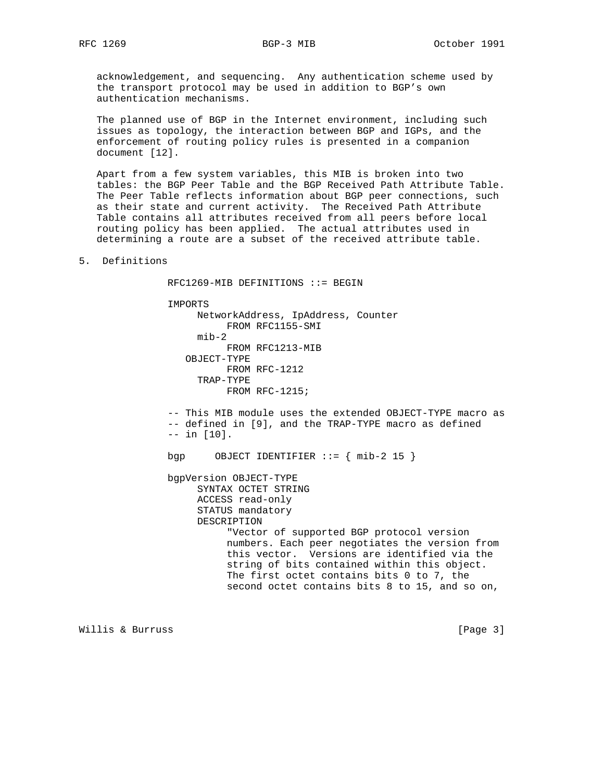acknowledgement, and sequencing. Any authentication scheme used by the transport protocol may be used in addition to BGP's own authentication mechanisms.

 The planned use of BGP in the Internet environment, including such issues as topology, the interaction between BGP and IGPs, and the enforcement of routing policy rules is presented in a companion document [12].

 Apart from a few system variables, this MIB is broken into two tables: the BGP Peer Table and the BGP Received Path Attribute Table. The Peer Table reflects information about BGP peer connections, such as their state and current activity. The Received Path Attribute Table contains all attributes received from all peers before local routing policy has been applied. The actual attributes used in determining a route are a subset of the received attribute table.

5. Definitions

RFC1269-MIB DEFINITIONS ::= BEGIN

IMPORTS

 NetworkAddress, IpAddress, Counter FROM RFC1155-SMI mib-2 FROM RFC1213-MIB OBJECT-TYPE FROM RFC-1212 TRAP-TYPE FROM RFC-1215; -- This MIB module uses the extended OBJECT-TYPE macro as -- defined in [9], and the TRAP-TYPE macro as defined -- in [10]. bgp  $OBJECT IDENTIFIER ::= { mib-2 15 }$  bgpVersion OBJECT-TYPE SYNTAX OCTET STRING ACCESS read-only STATUS mandatory DESCRIPTION "Vector of supported BGP protocol version numbers. Each peer negotiates the version from this vector. Versions are identified via the string of bits contained within this object. The first octet contains bits 0 to 7, the second octet contains bits 8 to 15, and so on,

Willis & Burruss [Page 3]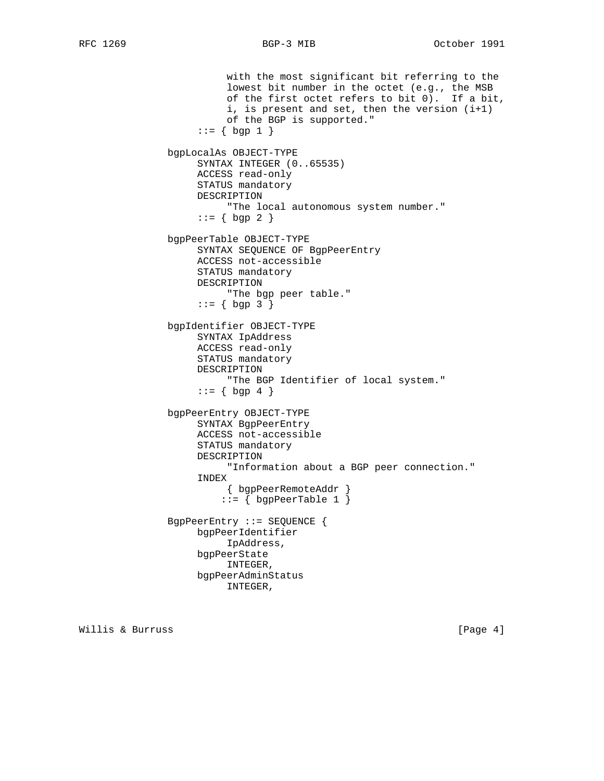with the most significant bit referring to the lowest bit number in the octet (e.g., the MSB of the first octet refers to bit 0). If a bit, i, is present and set, then the version (i+1) of the BGP is supported."  $::= \{ \text{bgp 1 } \}$  bgpLocalAs OBJECT-TYPE SYNTAX INTEGER (0..65535) ACCESS read-only STATUS mandatory DESCRIPTION "The local autonomous system number."  $::= \{ \text{bgp 2 } \}$  bgpPeerTable OBJECT-TYPE SYNTAX SEQUENCE OF BgpPeerEntry ACCESS not-accessible STATUS mandatory DESCRIPTION "The bgp peer table."  $::= \{ \text{ bgp } 3 \}$  bgpIdentifier OBJECT-TYPE SYNTAX IpAddress ACCESS read-only STATUS mandatory DESCRIPTION "The BGP Identifier of local system."  $::= \{ \text{bgp } 4 \}$  bgpPeerEntry OBJECT-TYPE SYNTAX BgpPeerEntry ACCESS not-accessible STATUS mandatory DESCRIPTION "Information about a BGP peer connection." INDEX { bgpPeerRemoteAddr }  $::=$  { bgpPeerTable 1 } BgpPeerEntry ::= SEQUENCE { bgpPeerIdentifier IpAddress, bgpPeerState INTEGER, bgpPeerAdminStatus INTEGER,

Willis & Burruss [Page 4]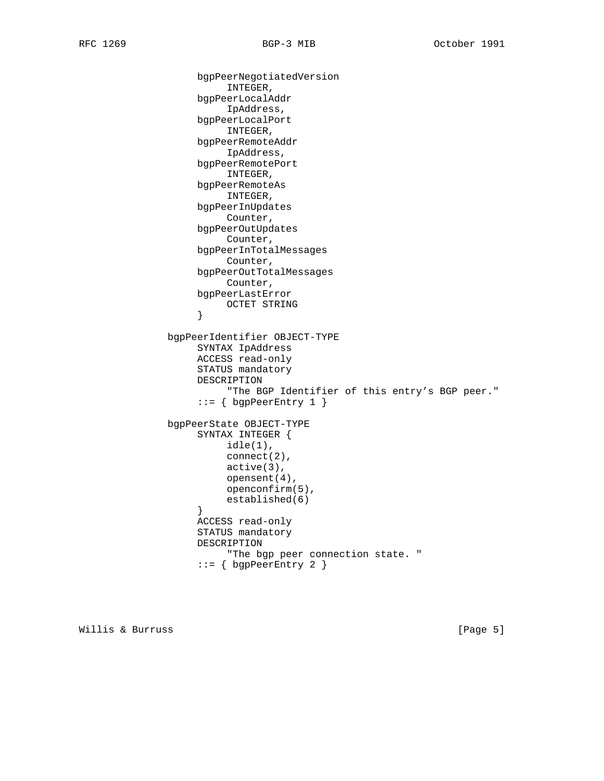```
 bgpPeerNegotiatedVersion
                         INTEGER,
                    bgpPeerLocalAddr
                         IpAddress,
                    bgpPeerLocalPort
                         INTEGER,
                    bgpPeerRemoteAddr
                         IpAddress,
                    bgpPeerRemotePort
                         INTEGER,
                    bgpPeerRemoteAs
                         INTEGER,
                    bgpPeerInUpdates
                         Counter,
                    bgpPeerOutUpdates
                         Counter,
                    bgpPeerInTotalMessages
                         Counter,
                    bgpPeerOutTotalMessages
                         Counter,
                    bgpPeerLastError
                   OCTET STRING<br>}
}
               bgpPeerIdentifier OBJECT-TYPE
                    SYNTAX IpAddress
                    ACCESS read-only
                    STATUS mandatory
                    DESCRIPTION
                         "The BGP Identifier of this entry's BGP peer."
                   ::= { bgpPeerEntry 1 }
               bgpPeerState OBJECT-TYPE
                    SYNTAX INTEGER {
                         idle(1),
                         connect(2),
                         active(3),
                         opensent(4),
                         openconfirm(5),
                         established(6)
}
                    ACCESS read-only
                    STATUS mandatory
                    DESCRIPTION
                         "The bgp peer connection state. "
                    ::= { bgpPeerEntry 2 }
```
Willis & Burruss [Page 5]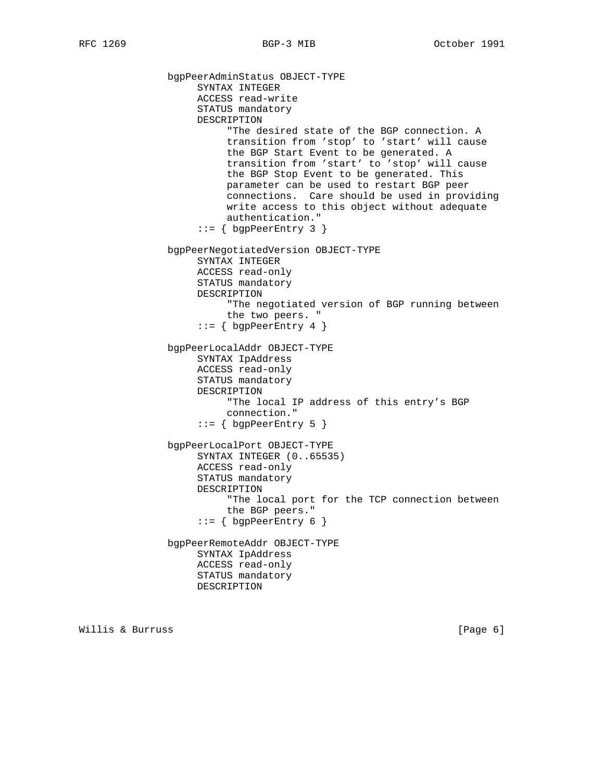bgpPeerAdminStatus OBJECT-TYPE SYNTAX INTEGER ACCESS read-write STATUS mandatory DESCRIPTION "The desired state of the BGP connection. A transition from 'stop' to 'start' will cause the BGP Start Event to be generated. A transition from 'start' to 'stop' will cause the BGP Stop Event to be generated. This parameter can be used to restart BGP peer connections. Care should be used in providing write access to this object without adequate authentication."  $::=$  { bgpPeerEntry 3 } bgpPeerNegotiatedVersion OBJECT-TYPE SYNTAX INTEGER ACCESS read-only STATUS mandatory DESCRIPTION "The negotiated version of BGP running between the two peers. "  $::=$  { bgpPeerEntry 4 } bgpPeerLocalAddr OBJECT-TYPE SYNTAX IpAddress ACCESS read-only STATUS mandatory DESCRIPTION "The local IP address of this entry's BGP connection."  $::=$  { bgpPeerEntry 5 } bgpPeerLocalPort OBJECT-TYPE SYNTAX INTEGER (0..65535) ACCESS read-only STATUS mandatory DESCRIPTION "The local port for the TCP connection between the BGP peers." ::= { bgpPeerEntry 6 } bgpPeerRemoteAddr OBJECT-TYPE SYNTAX IpAddress ACCESS read-only STATUS mandatory DESCRIPTION

Willis & Burruss [Page 6]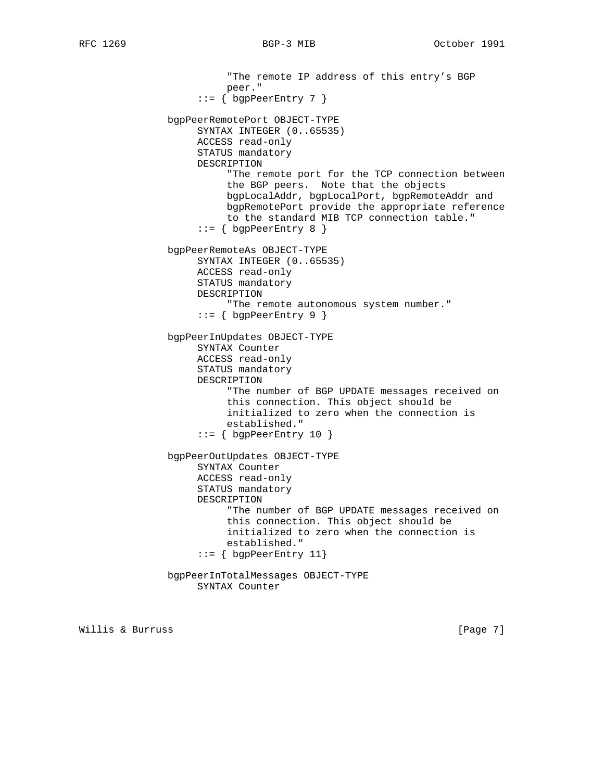"The remote IP address of this entry's BGP peer." ::= { bgpPeerEntry 7 } bgpPeerRemotePort OBJECT-TYPE SYNTAX INTEGER (0..65535) ACCESS read-only STATUS mandatory DESCRIPTION "The remote port for the TCP connection between the BGP peers. Note that the objects bgpLocalAddr, bgpLocalPort, bgpRemoteAddr and bgpRemotePort provide the appropriate reference to the standard MIB TCP connection table." ::= { bgpPeerEntry 8 } bgpPeerRemoteAs OBJECT-TYPE SYNTAX INTEGER (0..65535) ACCESS read-only STATUS mandatory DESCRIPTION "The remote autonomous system number." ::= { bgpPeerEntry 9 } bgpPeerInUpdates OBJECT-TYPE SYNTAX Counter ACCESS read-only STATUS mandatory DESCRIPTION "The number of BGP UPDATE messages received on this connection. This object should be initialized to zero when the connection is established." ::= { bgpPeerEntry 10 } bgpPeerOutUpdates OBJECT-TYPE SYNTAX Counter ACCESS read-only STATUS mandatory DESCRIPTION "The number of BGP UPDATE messages received on this connection. This object should be initialized to zero when the connection is established." ::= { bgpPeerEntry 11} bgpPeerInTotalMessages OBJECT-TYPE SYNTAX Counter

Willis & Burruss [Page 7]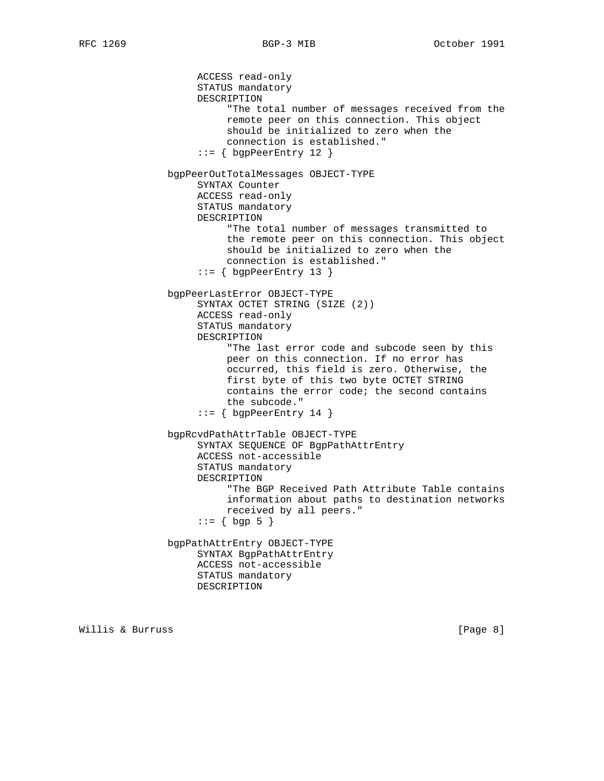ACCESS read-only STATUS mandatory DESCRIPTION "The total number of messages received from the remote peer on this connection. This object should be initialized to zero when the connection is established."  $::=$  { bgpPeerEntry 12 } bgpPeerOutTotalMessages OBJECT-TYPE SYNTAX Counter ACCESS read-only STATUS mandatory DESCRIPTION "The total number of messages transmitted to the remote peer on this connection. This object should be initialized to zero when the connection is established." ::= { bgpPeerEntry 13 } bgpPeerLastError OBJECT-TYPE SYNTAX OCTET STRING (SIZE (2)) ACCESS read-only STATUS mandatory DESCRIPTION "The last error code and subcode seen by this peer on this connection. If no error has occurred, this field is zero. Otherwise, the first byte of this two byte OCTET STRING contains the error code; the second contains the subcode."  $::=$  { bgpPeerEntry 14 } bgpRcvdPathAttrTable OBJECT-TYPE SYNTAX SEQUENCE OF BgpPathAttrEntry ACCESS not-accessible STATUS mandatory DESCRIPTION "The BGP Received Path Attribute Table contains information about paths to destination networks received by all peers."  $: := \{ \text{bgp } 5 \}$  bgpPathAttrEntry OBJECT-TYPE SYNTAX BgpPathAttrEntry ACCESS not-accessible STATUS mandatory DESCRIPTION

Willis & Burruss [Page 8]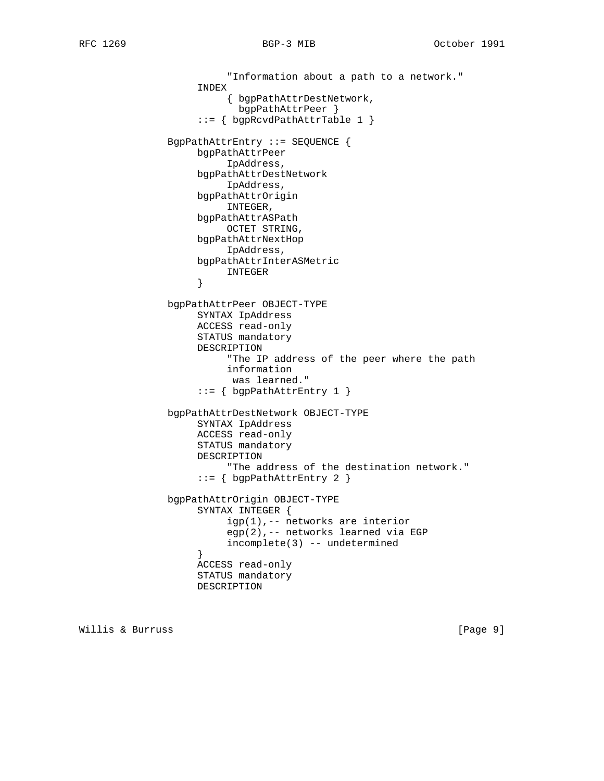"Information about a path to a network." INDEX { bgpPathAttrDestNetwork, bgpPathAttrPeer } ::= { bgpRcvdPathAttrTable 1 } BgpPathAttrEntry ::= SEQUENCE { bgpPathAttrPeer IpAddress, bgpPathAttrDestNetwork IpAddress, bgpPathAttrOrigin INTEGER, bgpPathAttrASPath OCTET STRING, bgpPathAttrNextHop IpAddress, bgpPathAttrInterASMetric INTEGER } bgpPathAttrPeer OBJECT-TYPE SYNTAX IpAddress ACCESS read-only STATUS mandatory DESCRIPTION "The IP address of the peer where the path information was learned." ::= { bgpPathAttrEntry 1 } bgpPathAttrDestNetwork OBJECT-TYPE SYNTAX IpAddress ACCESS read-only STATUS mandatory DESCRIPTION "The address of the destination network." ::= { bgpPathAttrEntry 2 } bgpPathAttrOrigin OBJECT-TYPE SYNTAX INTEGER { igp(1),-- networks are interior egp(2),-- networks learned via EGP incomplete(3) -- undetermined } ACCESS read-only STATUS mandatory DESCRIPTION

Willis & Burruss [Page 9]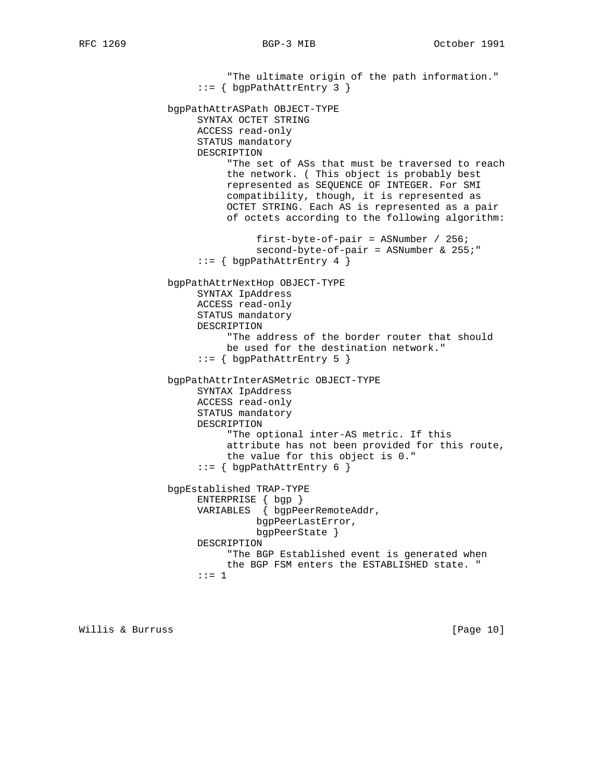"The ultimate origin of the path information." ::= { bgpPathAttrEntry 3 } bgpPathAttrASPath OBJECT-TYPE SYNTAX OCTET STRING ACCESS read-only STATUS mandatory DESCRIPTION "The set of ASs that must be traversed to reach the network. ( This object is probably best represented as SEQUENCE OF INTEGER. For SMI compatibility, though, it is represented as OCTET STRING. Each AS is represented as a pair of octets according to the following algorithm: first-byte-of-pair = ASNumber / 256; second-byte-of-pair = ASNumber & 255;" ::= { bgpPathAttrEntry 4 } bgpPathAttrNextHop OBJECT-TYPE SYNTAX IpAddress ACCESS read-only STATUS mandatory DESCRIPTION "The address of the border router that should be used for the destination network." ::= { bgpPathAttrEntry 5 } bgpPathAttrInterASMetric OBJECT-TYPE SYNTAX IpAddress ACCESS read-only STATUS mandatory DESCRIPTION "The optional inter-AS metric. If this attribute has not been provided for this route, the value for this object is 0." ::= { bgpPathAttrEntry 6 } bgpEstablished TRAP-TYPE ENTERPRISE { bgp } VARIABLES { bgpPeerRemoteAddr, bgpPeerLastError, bgpPeerState } DESCRIPTION "The BGP Established event is generated when the BGP FSM enters the ESTABLISHED state. " ::= 1

Willis & Burruss [Page 10]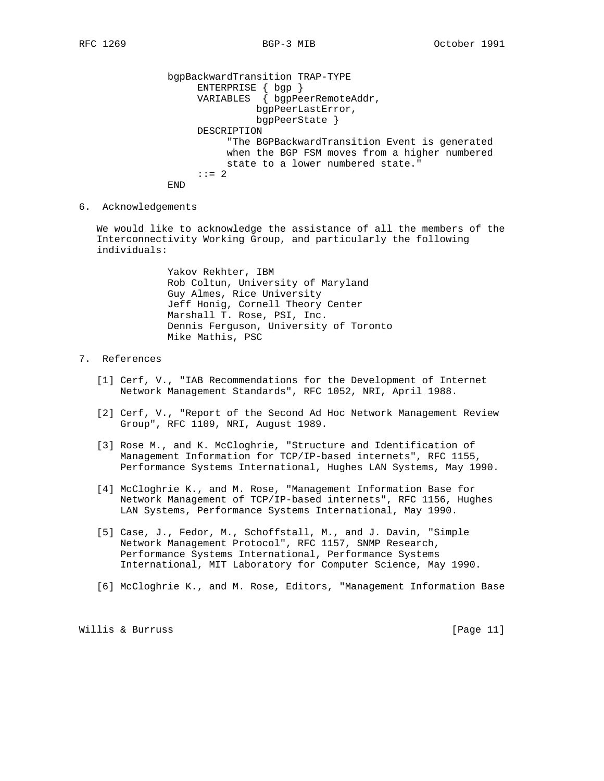bgpBackwardTransition TRAP-TYPE ENTERPRISE  $\{ \text{ bgp } \}$  VARIABLES { bgpPeerRemoteAddr, bgpPeerLastError, bgpPeerState } DESCRIPTION "The BGPBackwardTransition Event is generated when the BGP FSM moves from a higher numbered state to a lower numbered state."  $: := 2$ END

6. Acknowledgements

 We would like to acknowledge the assistance of all the members of the Interconnectivity Working Group, and particularly the following individuals:

> Yakov Rekhter, IBM Rob Coltun, University of Maryland Guy Almes, Rice University Jeff Honig, Cornell Theory Center Marshall T. Rose, PSI, Inc. Dennis Ferguson, University of Toronto Mike Mathis, PSC

## 7. References

- [1] Cerf, V., "IAB Recommendations for the Development of Internet Network Management Standards", RFC 1052, NRI, April 1988.
- [2] Cerf, V., "Report of the Second Ad Hoc Network Management Review Group", RFC 1109, NRI, August 1989.
- [3] Rose M., and K. McCloghrie, "Structure and Identification of Management Information for TCP/IP-based internets", RFC 1155, Performance Systems International, Hughes LAN Systems, May 1990.
- [4] McCloghrie K., and M. Rose, "Management Information Base for Network Management of TCP/IP-based internets", RFC 1156, Hughes LAN Systems, Performance Systems International, May 1990.
- [5] Case, J., Fedor, M., Schoffstall, M., and J. Davin, "Simple Network Management Protocol", RFC 1157, SNMP Research, Performance Systems International, Performance Systems International, MIT Laboratory for Computer Science, May 1990.
- [6] McCloghrie K., and M. Rose, Editors, "Management Information Base

Willis & Burruss [Page 11]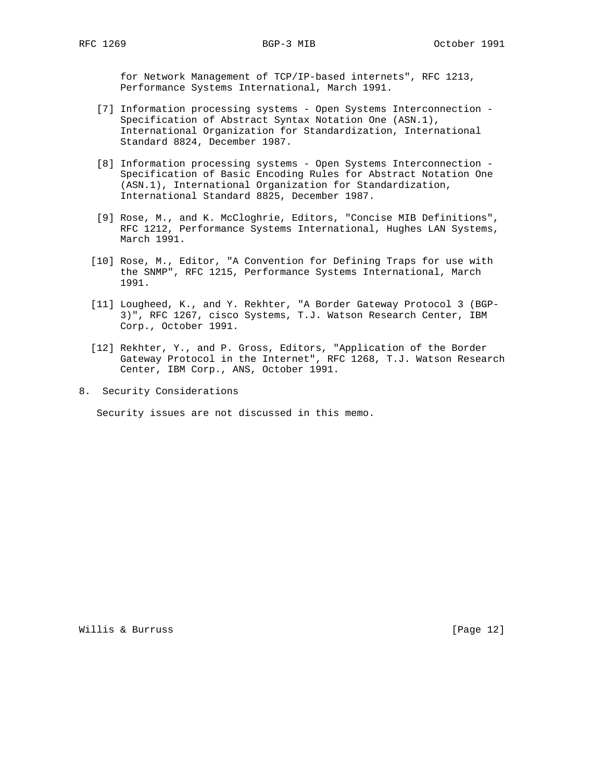for Network Management of TCP/IP-based internets", RFC 1213, Performance Systems International, March 1991.

- [7] Information processing systems Open Systems Interconnection Specification of Abstract Syntax Notation One (ASN.1), International Organization for Standardization, International Standard 8824, December 1987.
- [8] Information processing systems Open Systems Interconnection Specification of Basic Encoding Rules for Abstract Notation One (ASN.1), International Organization for Standardization, International Standard 8825, December 1987.
- [9] Rose, M., and K. McCloghrie, Editors, "Concise MIB Definitions", RFC 1212, Performance Systems International, Hughes LAN Systems, March 1991.
- [10] Rose, M., Editor, "A Convention for Defining Traps for use with the SNMP", RFC 1215, Performance Systems International, March 1991.
- [11] Lougheed, K., and Y. Rekhter, "A Border Gateway Protocol 3 (BGP- 3)", RFC 1267, cisco Systems, T.J. Watson Research Center, IBM Corp., October 1991.
- [12] Rekhter, Y., and P. Gross, Editors, "Application of the Border Gateway Protocol in the Internet", RFC 1268, T.J. Watson Research Center, IBM Corp., ANS, October 1991.
- 8. Security Considerations

Security issues are not discussed in this memo.